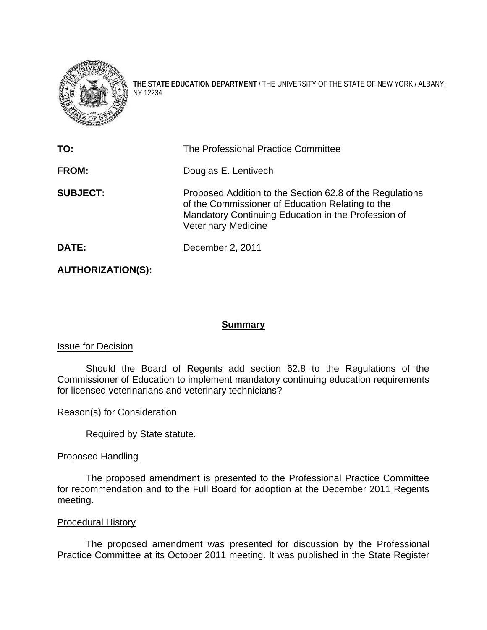

**THE STATE EDUCATION DEPARTMENT** / THE UNIVERSITY OF THE STATE OF NEW YORK / ALBANY, NY 12234

| TO:             | The Professional Practice Committee                                                                                                                                                               |
|-----------------|---------------------------------------------------------------------------------------------------------------------------------------------------------------------------------------------------|
| <b>FROM:</b>    | Douglas E. Lentivech                                                                                                                                                                              |
| <b>SUBJECT:</b> | Proposed Addition to the Section 62.8 of the Regulations<br>of the Commissioner of Education Relating to the<br>Mandatory Continuing Education in the Profession of<br><b>Veterinary Medicine</b> |
| DATE:           | December 2, 2011                                                                                                                                                                                  |

**AUTHORIZATION(S):** 

## **Summary**

### Issue for Decision

Should the Board of Regents add section 62.8 to the Regulations of the Commissioner of Education to implement mandatory continuing education requirements for licensed veterinarians and veterinary technicians?

### Reason(s) for Consideration

Required by State statute.

### Proposed Handling

The proposed amendment is presented to the Professional Practice Committee for recommendation and to the Full Board for adoption at the December 2011 Regents meeting.

### Procedural History

The proposed amendment was presented for discussion by the Professional Practice Committee at its October 2011 meeting. It was published in the State Register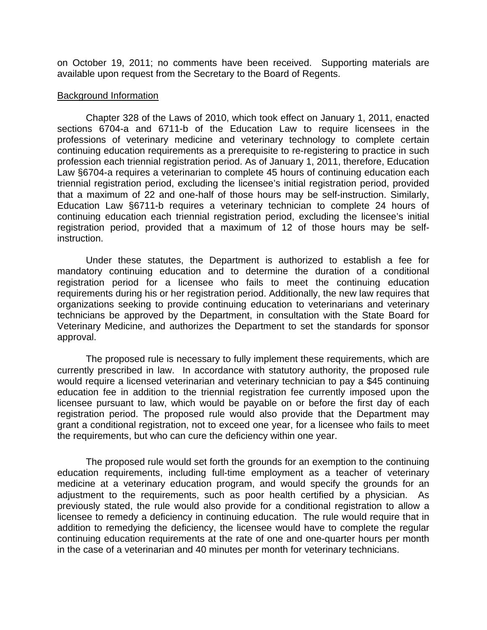on October 19, 2011; no comments have been received. Supporting materials are available upon request from the Secretary to the Board of Regents.

#### Background Information

Chapter 328 of the Laws of 2010, which took effect on January 1, 2011, enacted sections 6704-a and 6711-b of the Education Law to require licensees in the professions of veterinary medicine and veterinary technology to complete certain continuing education requirements as a prerequisite to re-registering to practice in such profession each triennial registration period. As of January 1, 2011, therefore, Education Law §6704-a requires a veterinarian to complete 45 hours of continuing education each triennial registration period, excluding the licensee's initial registration period, provided that a maximum of 22 and one-half of those hours may be self-instruction. Similarly, Education Law §6711-b requires a veterinary technician to complete 24 hours of continuing education each triennial registration period, excluding the licensee's initial registration period, provided that a maximum of 12 of those hours may be selfinstruction.

Under these statutes, the Department is authorized to establish a fee for mandatory continuing education and to determine the duration of a conditional registration period for a licensee who fails to meet the continuing education requirements during his or her registration period. Additionally, the new law requires that organizations seeking to provide continuing education to veterinarians and veterinary technicians be approved by the Department, in consultation with the State Board for Veterinary Medicine, and authorizes the Department to set the standards for sponsor approval.

The proposed rule is necessary to fully implement these requirements, which are currently prescribed in law. In accordance with statutory authority, the proposed rule would require a licensed veterinarian and veterinary technician to pay a \$45 continuing education fee in addition to the triennial registration fee currently imposed upon the licensee pursuant to law, which would be payable on or before the first day of each registration period. The proposed rule would also provide that the Department may grant a conditional registration, not to exceed one year, for a licensee who fails to meet the requirements, but who can cure the deficiency within one year.

The proposed rule would set forth the grounds for an exemption to the continuing education requirements, including full-time employment as a teacher of veterinary medicine at a veterinary education program, and would specify the grounds for an adjustment to the requirements, such as poor health certified by a physician. As previously stated, the rule would also provide for a conditional registration to allow a licensee to remedy a deficiency in continuing education. The rule would require that in addition to remedying the deficiency, the licensee would have to complete the regular continuing education requirements at the rate of one and one-quarter hours per month in the case of a veterinarian and 40 minutes per month for veterinary technicians.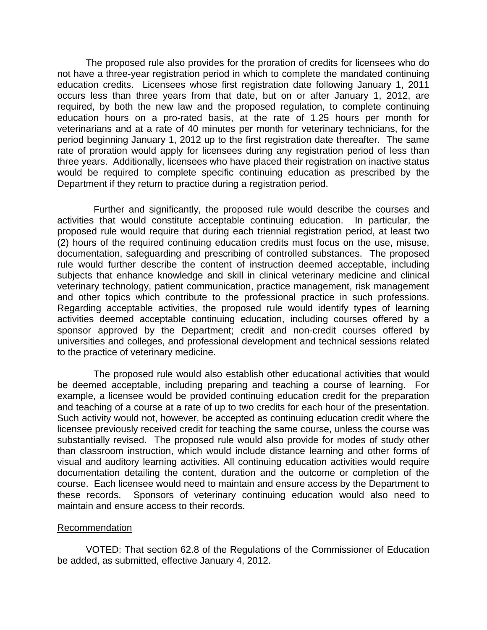The proposed rule also provides for the proration of credits for licensees who do not have a three-year registration period in which to complete the mandated continuing education credits. Licensees whose first registration date following January 1, 2011 occurs less than three years from that date, but on or after January 1, 2012, are required, by both the new law and the proposed regulation, to complete continuing education hours on a pro-rated basis, at the rate of 1.25 hours per month for veterinarians and at a rate of 40 minutes per month for veterinary technicians, for the period beginning January 1, 2012 up to the first registration date thereafter. The same rate of proration would apply for licensees during any registration period of less than three years. Additionally, licensees who have placed their registration on inactive status would be required to complete specific continuing education as prescribed by the Department if they return to practice during a registration period.

Further and significantly, the proposed rule would describe the courses and activities that would constitute acceptable continuing education. In particular, the proposed rule would require that during each triennial registration period, at least two (2) hours of the required continuing education credits must focus on the use, misuse, documentation, safeguarding and prescribing of controlled substances. The proposed rule would further describe the content of instruction deemed acceptable, including subjects that enhance knowledge and skill in clinical veterinary medicine and clinical veterinary technology, patient communication, practice management, risk management and other topics which contribute to the professional practice in such professions. Regarding acceptable activities, the proposed rule would identify types of learning activities deemed acceptable continuing education, including courses offered by a sponsor approved by the Department; credit and non-credit courses offered by universities and colleges, and professional development and technical sessions related to the practice of veterinary medicine.

 The proposed rule would also establish other educational activities that would be deemed acceptable, including preparing and teaching a course of learning. For example, a licensee would be provided continuing education credit for the preparation and teaching of a course at a rate of up to two credits for each hour of the presentation. Such activity would not, however, be accepted as continuing education credit where the licensee previously received credit for teaching the same course, unless the course was substantially revised. The proposed rule would also provide for modes of study other than classroom instruction, which would include distance learning and other forms of visual and auditory learning activities. All continuing education activities would require documentation detailing the content, duration and the outcome or completion of the course. Each licensee would need to maintain and ensure access by the Department to these records. Sponsors of veterinary continuing education would also need to maintain and ensure access to their records.

### Recommendation

VOTED: That section 62.8 of the Regulations of the Commissioner of Education be added, as submitted, effective January 4, 2012.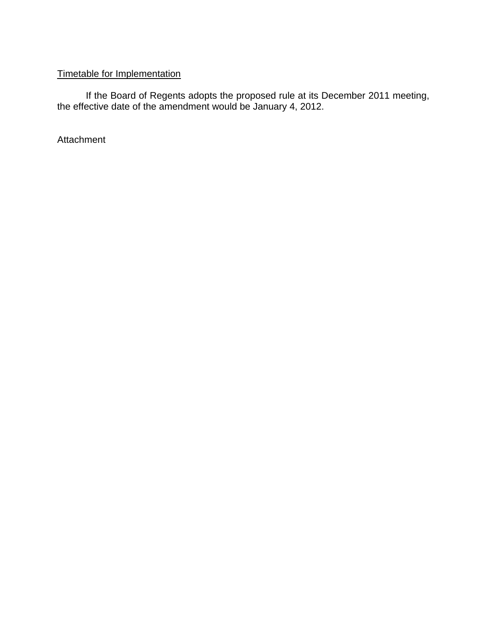# Timetable for Implementation

If the Board of Regents adopts the proposed rule at its December 2011 meeting, the effective date of the amendment would be January 4, 2012.

Attachment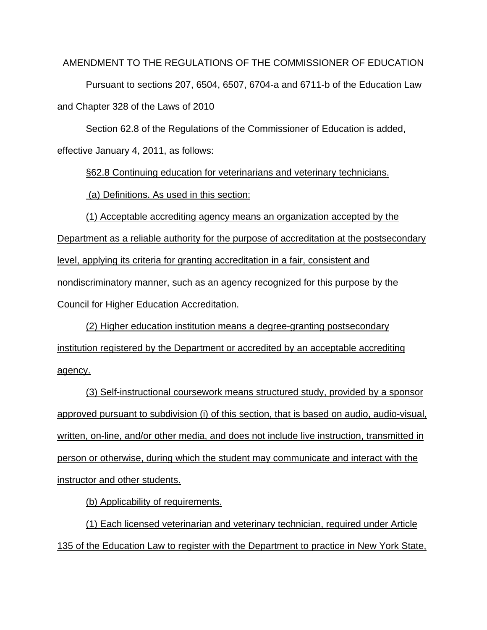AMENDMENT TO THE REGULATIONS OF THE COMMISSIONER OF EDUCATION

 Pursuant to sections 207, 6504, 6507, 6704-a and 6711-b of the Education Law and Chapter 328 of the Laws of 2010

Section 62.8 of the Regulations of the Commissioner of Education is added, effective January 4, 2011, as follows:

§62.8 Continuing education for veterinarians and veterinary technicians.

(a) Definitions. As used in this section:

(1) Acceptable accrediting agency means an organization accepted by the Department as a reliable authority for the purpose of accreditation at the postsecondary level, applying its criteria for granting accreditation in a fair, consistent and nondiscriminatory manner, such as an agency recognized for this purpose by the Council for Higher Education Accreditation.

(2) Higher education institution means a degree-granting postsecondary institution registered by the Department or accredited by an acceptable accrediting agency.

(3) Self-instructional coursework means structured study, provided by a sponsor approved pursuant to subdivision (i) of this section, that is based on audio, audio-visual, written, on-line, and/or other media, and does not include live instruction, transmitted in person or otherwise, during which the student may communicate and interact with the instructor and other students.

(b) Applicability of requirements.

(1) Each licensed veterinarian and veterinary technician, required under Article 135 of the Education Law to register with the Department to practice in New York State,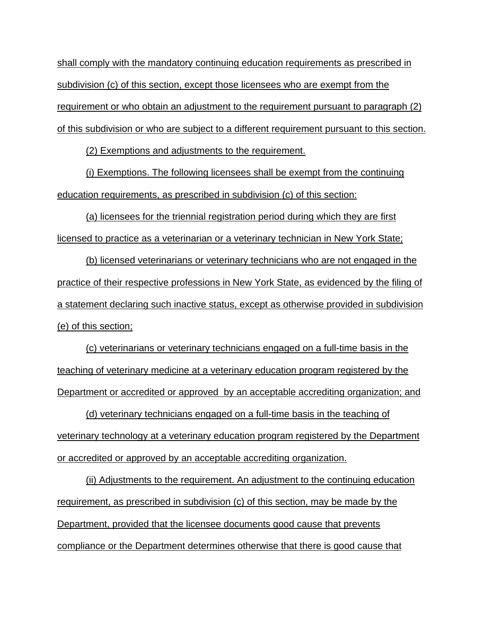shall comply with the mandatory continuing education requirements as prescribed in subdivision (c) of this section, except those licensees who are exempt from the requirement or who obtain an adjustment to the requirement pursuant to paragraph (2) of this subdivision or who are subject to a different requirement pursuant to this section.

(2) Exemptions and adjustments to the requirement.

(i) Exemptions. The following licensees shall be exempt from the continuing education requirements, as prescribed in subdivision (c) of this section:

(a) licensees for the triennial registration period during which they are first licensed to practice as a veterinarian or a veterinary technician in New York State;

(b) licensed veterinarians or veterinary technicians who are not engaged in the practice of their respective professions in New York State, as evidenced by the filing of a statement declaring such inactive status, except as otherwise provided in subdivision (e) of this section;

(c) veterinarians or veterinary technicians engaged on a full-time basis in the teaching of veterinary medicine at a veterinary education program registered by the Department or accredited or approved by an acceptable accrediting organization; and

(d) veterinary technicians engaged on a full-time basis in the teaching of veterinary technology at a veterinary education program registered by the Department or accredited or approved by an acceptable accrediting organization.

(ii) Adjustments to the requirement. An adjustment to the continuing education requirement, as prescribed in subdivision (c) of this section, may be made by the Department, provided that the licensee documents good cause that prevents compliance or the Department determines otherwise that there is good cause that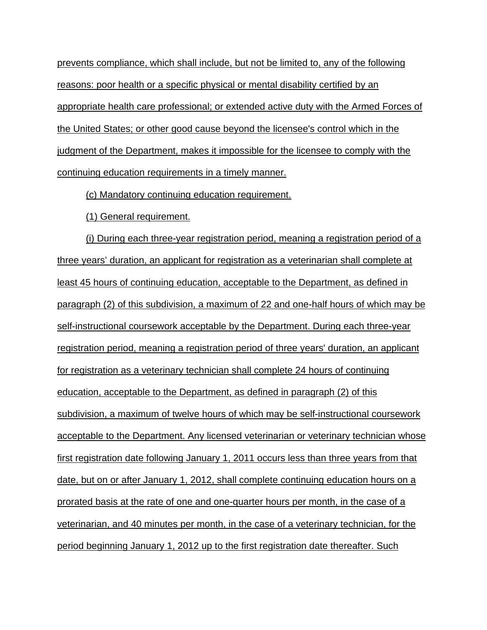prevents compliance, which shall include, but not be limited to, any of the following reasons: poor health or a specific physical or mental disability certified by an appropriate health care professional; or extended active duty with the Armed Forces of the United States; or other good cause beyond the licensee's control which in the judgment of the Department, makes it impossible for the licensee to comply with the continuing education requirements in a timely manner.

(c) Mandatory continuing education requirement.

(1) General requirement.

(i) During each three-year registration period, meaning a registration period of a three years' duration, an applicant for registration as a veterinarian shall complete at least 45 hours of continuing education, acceptable to the Department, as defined in paragraph (2) of this subdivision, a maximum of 22 and one-half hours of which may be self-instructional coursework acceptable by the Department. During each three-year registration period, meaning a registration period of three years' duration, an applicant for registration as a veterinary technician shall complete 24 hours of continuing education, acceptable to the Department, as defined in paragraph (2) of this subdivision, a maximum of twelve hours of which may be self-instructional coursework acceptable to the Department. Any licensed veterinarian or veterinary technician whose first registration date following January 1, 2011 occurs less than three years from that date, but on or after January 1, 2012, shall complete continuing education hours on a prorated basis at the rate of one and one-quarter hours per month, in the case of a veterinarian, and 40 minutes per month, in the case of a veterinary technician, for the period beginning January 1, 2012 up to the first registration date thereafter. Such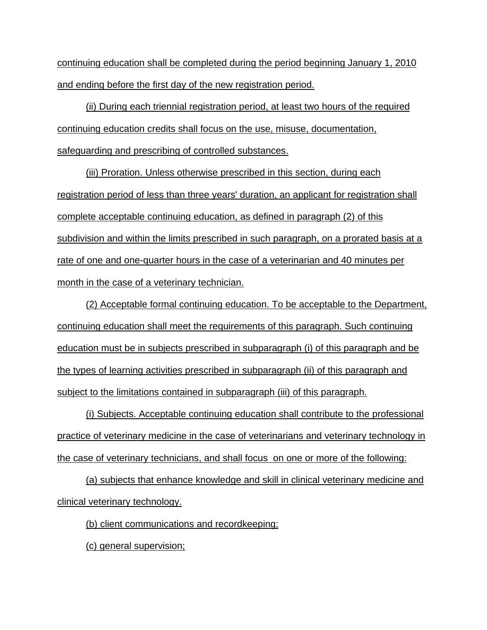continuing education shall be completed during the period beginning January 1, 2010 and ending before the first day of the new registration period.

(ii) During each triennial registration period, at least two hours of the required continuing education credits shall focus on the use, misuse, documentation, safeguarding and prescribing of controlled substances.

(iii) Proration. Unless otherwise prescribed in this section, during each registration period of less than three years' duration, an applicant for registration shall complete acceptable continuing education, as defined in paragraph (2) of this subdivision and within the limits prescribed in such paragraph, on a prorated basis at a rate of one and one-quarter hours in the case of a veterinarian and 40 minutes per month in the case of a veterinary technician.

(2) Acceptable formal continuing education. To be acceptable to the Department, continuing education shall meet the requirements of this paragraph. Such continuing education must be in subjects prescribed in subparagraph (i) of this paragraph and be the types of learning activities prescribed in subparagraph (ii) of this paragraph and subject to the limitations contained in subparagraph (iii) of this paragraph.

(i) Subjects. Acceptable continuing education shall contribute to the professional practice of veterinary medicine in the case of veterinarians and veterinary technology in the case of veterinary technicians, and shall focus on one or more of the following:

(a) subjects that enhance knowledge and skill in clinical veterinary medicine and clinical veterinary technology.

(b) client communications and recordkeeping;

(c) general supervision;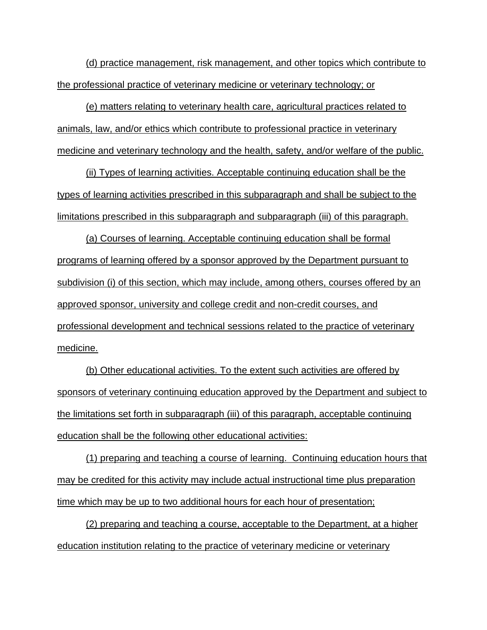(d) practice management, risk management, and other topics which contribute to the professional practice of veterinary medicine or veterinary technology; or

(e) matters relating to veterinary health care, agricultural practices related to animals, law, and/or ethics which contribute to professional practice in veterinary medicine and veterinary technology and the health, safety, and/or welfare of the public.

(ii) Types of learning activities. Acceptable continuing education shall be the types of learning activities prescribed in this subparagraph and shall be subject to the limitations prescribed in this subparagraph and subparagraph (iii) of this paragraph.

(a) Courses of learning. Acceptable continuing education shall be formal programs of learning offered by a sponsor approved by the Department pursuant to subdivision (i) of this section, which may include, among others, courses offered by an approved sponsor, university and college credit and non-credit courses, and professional development and technical sessions related to the practice of veterinary medicine.

(b) Other educational activities. To the extent such activities are offered by sponsors of veterinary continuing education approved by the Department and subject to the limitations set forth in subparagraph (iii) of this paragraph, acceptable continuing education shall be the following other educational activities:

(1) preparing and teaching a course of learning. Continuing education hours that may be credited for this activity may include actual instructional time plus preparation time which may be up to two additional hours for each hour of presentation;

(2) preparing and teaching a course, acceptable to the Department, at a higher education institution relating to the practice of veterinary medicine or veterinary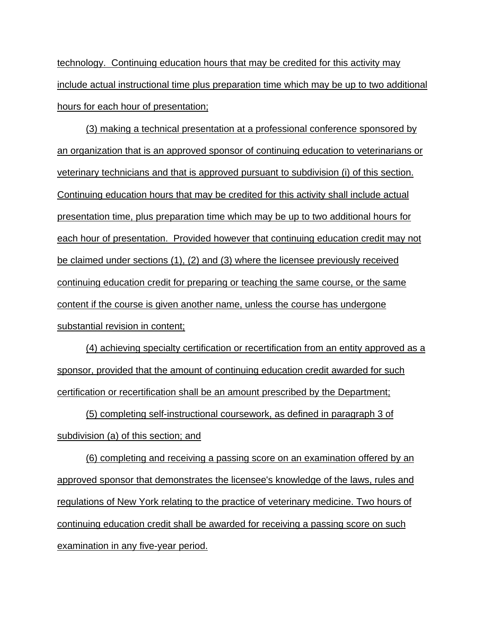technology. Continuing education hours that may be credited for this activity may include actual instructional time plus preparation time which may be up to two additional hours for each hour of presentation;

(3) making a technical presentation at a professional conference sponsored by an organization that is an approved sponsor of continuing education to veterinarians or veterinary technicians and that is approved pursuant to subdivision (i) of this section. Continuing education hours that may be credited for this activity shall include actual presentation time, plus preparation time which may be up to two additional hours for each hour of presentation. Provided however that continuing education credit may not be claimed under sections (1), (2) and (3) where the licensee previously received continuing education credit for preparing or teaching the same course, or the same content if the course is given another name, unless the course has undergone substantial revision in content;

(4) achieving specialty certification or recertification from an entity approved as a sponsor, provided that the amount of continuing education credit awarded for such certification or recertification shall be an amount prescribed by the Department;

(5) completing self-instructional coursework, as defined in paragraph 3 of subdivision (a) of this section; and

(6) completing and receiving a passing score on an examination offered by an approved sponsor that demonstrates the licensee's knowledge of the laws, rules and regulations of New York relating to the practice of veterinary medicine. Two hours of continuing education credit shall be awarded for receiving a passing score on such examination in any five-year period.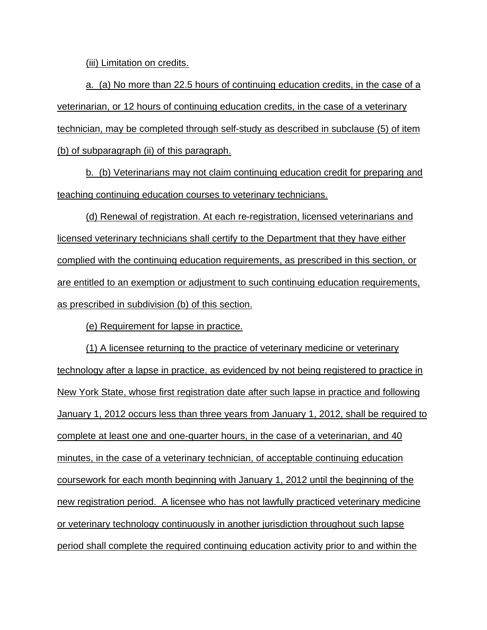(iii) Limitation on credits.

a. (a) No more than 22.5 hours of continuing education credits, in the case of a veterinarian, or 12 hours of continuing education credits, in the case of a veterinary technician, may be completed through self-study as described in subclause (5) of item (b) of subparagraph (ii) of this paragraph.

b. (b) Veterinarians may not claim continuing education credit for preparing and teaching continuing education courses to veterinary technicians.

(d) Renewal of registration. At each re-registration, licensed veterinarians and licensed veterinary technicians shall certify to the Department that they have either complied with the continuing education requirements, as prescribed in this section, or are entitled to an exemption or adjustment to such continuing education requirements, as prescribed in subdivision (b) of this section.

(e) Requirement for lapse in practice.

(1) A licensee returning to the practice of veterinary medicine or veterinary technology after a lapse in practice, as evidenced by not being registered to practice in New York State, whose first registration date after such lapse in practice and following January 1, 2012 occurs less than three years from January 1, 2012, shall be required to complete at least one and one-quarter hours, in the case of a veterinarian, and 40 minutes, in the case of a veterinary technician, of acceptable continuing education coursework for each month beginning with January 1, 2012 until the beginning of the new registration period. A licensee who has not lawfully practiced veterinary medicine or veterinary technology continuously in another jurisdiction throughout such lapse period shall complete the required continuing education activity prior to and within the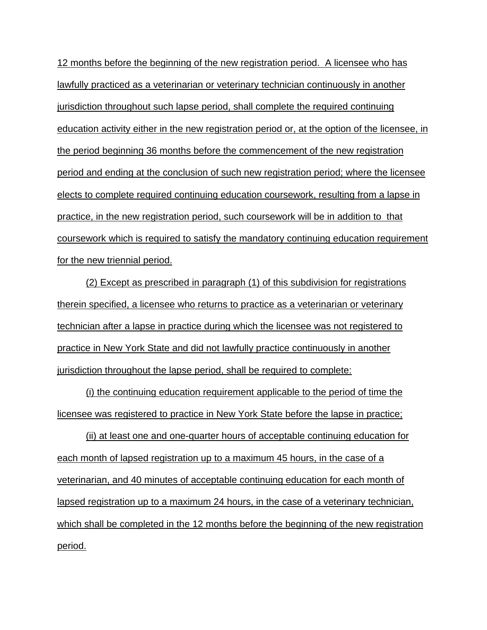12 months before the beginning of the new registration period. A licensee who has lawfully practiced as a veterinarian or veterinary technician continuously in another jurisdiction throughout such lapse period, shall complete the required continuing education activity either in the new registration period or, at the option of the licensee, in the period beginning 36 months before the commencement of the new registration period and ending at the conclusion of such new registration period; where the licensee elects to complete required continuing education coursework, resulting from a lapse in practice, in the new registration period, such coursework will be in addition to that coursework which is required to satisfy the mandatory continuing education requirement for the new triennial period.

(2) Except as prescribed in paragraph (1) of this subdivision for registrations therein specified, a licensee who returns to practice as a veterinarian or veterinary technician after a lapse in practice during which the licensee was not registered to practice in New York State and did not lawfully practice continuously in another jurisdiction throughout the lapse period, shall be required to complete:

(i) the continuing education requirement applicable to the period of time the licensee was registered to practice in New York State before the lapse in practice;

(ii) at least one and one-quarter hours of acceptable continuing education for each month of lapsed registration up to a maximum 45 hours, in the case of a veterinarian, and 40 minutes of acceptable continuing education for each month of lapsed registration up to a maximum 24 hours, in the case of a veterinary technician, which shall be completed in the 12 months before the beginning of the new registration period.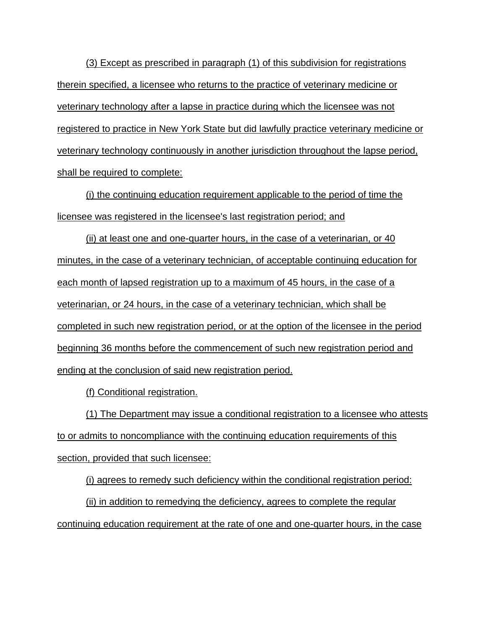(3) Except as prescribed in paragraph (1) of this subdivision for registrations therein specified, a licensee who returns to the practice of veterinary medicine or veterinary technology after a lapse in practice during which the licensee was not registered to practice in New York State but did lawfully practice veterinary medicine or veterinary technology continuously in another jurisdiction throughout the lapse period, shall be required to complete:

(i) the continuing education requirement applicable to the period of time the licensee was registered in the licensee's last registration period; and

(ii) at least one and one-quarter hours, in the case of a veterinarian, or 40 minutes, in the case of a veterinary technician, of acceptable continuing education for each month of lapsed registration up to a maximum of 45 hours, in the case of a veterinarian, or 24 hours, in the case of a veterinary technician, which shall be completed in such new registration period, or at the option of the licensee in the period beginning 36 months before the commencement of such new registration period and ending at the conclusion of said new registration period.

(f) Conditional registration.

(1) The Department may issue a conditional registration to a licensee who attests to or admits to noncompliance with the continuing education requirements of this section, provided that such licensee:

(i) agrees to remedy such deficiency within the conditional registration period:

(ii) in addition to remedying the deficiency, agrees to complete the regular continuing education requirement at the rate of one and one-quarter hours, in the case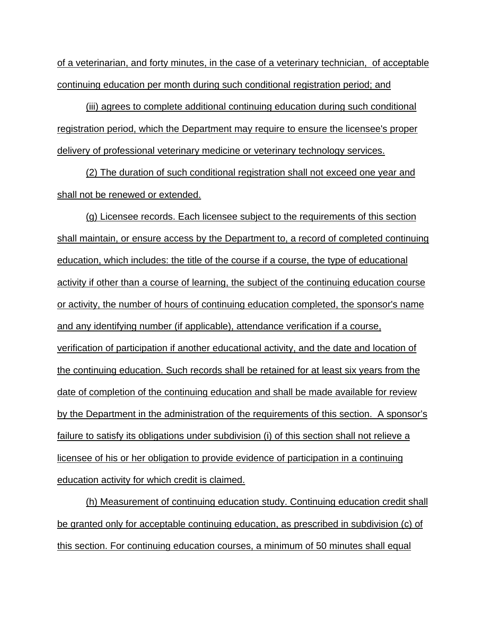of a veterinarian, and forty minutes, in the case of a veterinary technician, of acceptable continuing education per month during such conditional registration period; and

(iii) agrees to complete additional continuing education during such conditional registration period, which the Department may require to ensure the licensee's proper delivery of professional veterinary medicine or veterinary technology services.

(2) The duration of such conditional registration shall not exceed one year and shall not be renewed or extended.

(g) Licensee records. Each licensee subject to the requirements of this section shall maintain, or ensure access by the Department to, a record of completed continuing education, which includes: the title of the course if a course, the type of educational activity if other than a course of learning, the subject of the continuing education course or activity, the number of hours of continuing education completed, the sponsor's name and any identifying number (if applicable), attendance verification if a course, verification of participation if another educational activity, and the date and location of the continuing education. Such records shall be retained for at least six years from the date of completion of the continuing education and shall be made available for review by the Department in the administration of the requirements of this section. A sponsor's failure to satisfy its obligations under subdivision (i) of this section shall not relieve a licensee of his or her obligation to provide evidence of participation in a continuing education activity for which credit is claimed.

(h) Measurement of continuing education study. Continuing education credit shall be granted only for acceptable continuing education, as prescribed in subdivision (c) of this section. For continuing education courses, a minimum of 50 minutes shall equal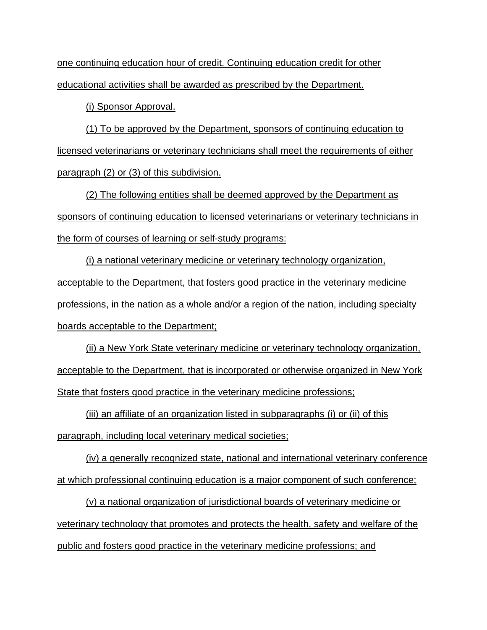one continuing education hour of credit. Continuing education credit for other educational activities shall be awarded as prescribed by the Department.

(i) Sponsor Approval.

(1) To be approved by the Department, sponsors of continuing education to licensed veterinarians or veterinary technicians shall meet the requirements of either paragraph (2) or (3) of this subdivision.

(2) The following entities shall be deemed approved by the Department as sponsors of continuing education to licensed veterinarians or veterinary technicians in the form of courses of learning or self-study programs:

(i) a national veterinary medicine or veterinary technology organization, acceptable to the Department, that fosters good practice in the veterinary medicine professions, in the nation as a whole and/or a region of the nation, including specialty boards acceptable to the Department;

(ii) a New York State veterinary medicine or veterinary technology organization, acceptable to the Department, that is incorporated or otherwise organized in New York State that fosters good practice in the veterinary medicine professions;

(iii) an affiliate of an organization listed in subparagraphs (i) or (ii) of this paragraph, including local veterinary medical societies;

(iv) a generally recognized state, national and international veterinary conference at which professional continuing education is a major component of such conference;

(v) a national organization of jurisdictional boards of veterinary medicine or veterinary technology that promotes and protects the health, safety and welfare of the public and fosters good practice in the veterinary medicine professions; and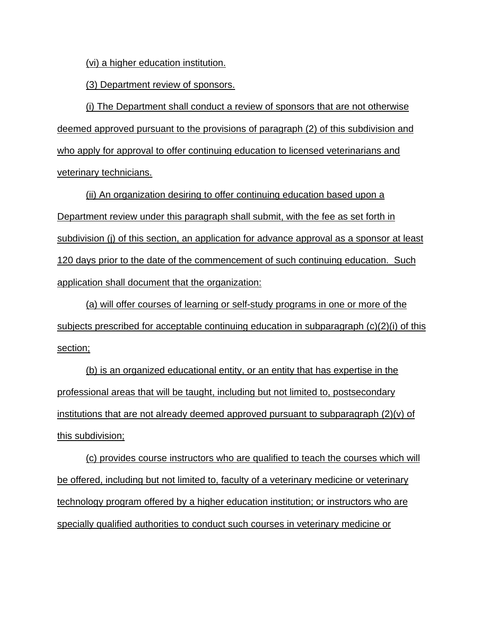(vi) a higher education institution.

(3) Department review of sponsors.

(i) The Department shall conduct a review of sponsors that are not otherwise deemed approved pursuant to the provisions of paragraph (2) of this subdivision and who apply for approval to offer continuing education to licensed veterinarians and veterinary technicians.

(ii) An organization desiring to offer continuing education based upon a Department review under this paragraph shall submit, with the fee as set forth in subdivision (j) of this section, an application for advance approval as a sponsor at least 120 days prior to the date of the commencement of such continuing education. Such application shall document that the organization:

(a) will offer courses of learning or self-study programs in one or more of the subjects prescribed for acceptable continuing education in subparagraph (c)(2)(i) of this section;

(b) is an organized educational entity, or an entity that has expertise in the professional areas that will be taught, including but not limited to, postsecondary <u>institutions that are not already deemed approved pursuant to subparagraph  $(2)(v)$  of</u> this subdivision;

(c) provides course instructors who are qualified to teach the courses which will be offered, including but not limited to, faculty of a veterinary medicine or veterinary technology program offered by a higher education institution; or instructors who are specially qualified authorities to conduct such courses in veterinary medicine or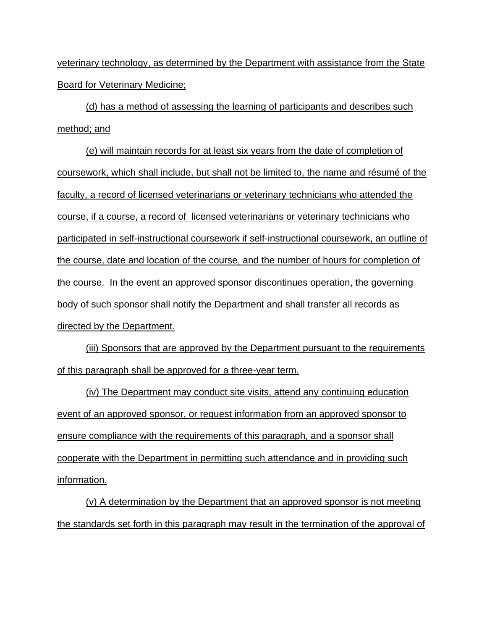veterinary technology, as determined by the Department with assistance from the State Board for Veterinary Medicine;

(d) has a method of assessing the learning of participants and describes such method; and

(e) will maintain records for at least six years from the date of completion of coursework, which shall include, but shall not be limited to, the name and résumé of the faculty, a record of licensed veterinarians or veterinary technicians who attended the course, if a course, a record of licensed veterinarians or veterinary technicians who participated in self-instructional coursework if self-instructional coursework, an outline of the course, date and location of the course, and the number of hours for completion of the course. In the event an approved sponsor discontinues operation, the governing body of such sponsor shall notify the Department and shall transfer all records as directed by the Department.

(iii) Sponsors that are approved by the Department pursuant to the requirements of this paragraph shall be approved for a three-year term.

(iv) The Department may conduct site visits, attend any continuing education event of an approved sponsor, or request information from an approved sponsor to ensure compliance with the requirements of this paragraph, and a sponsor shall cooperate with the Department in permitting such attendance and in providing such information.

(v) A determination by the Department that an approved sponsor is not meeting the standards set forth in this paragraph may result in the termination of the approval of